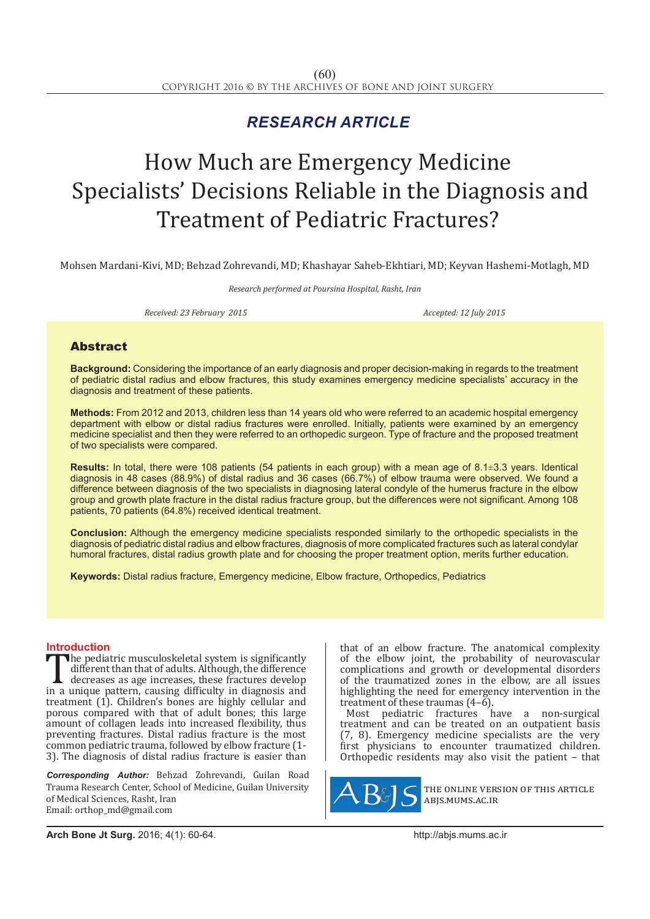## *RESEARCH ARTICLE*

# How Much are Emergency Medicine Specialists' Decisions Reliable in the Diagnosis and Treatment of Pediatric Fractures?

Mohsen Mardani-Kivi, MD; Behzad Zohrevandi, MD; Khashayar Saheb-Ekhtiari, MD; Keyvan Hashemi-Motlagh, MD

*Research performed at Poursina Hospital, Rasht, Iran*

*Received: 23 February 2015 Accepted: 12 July 2015*

### Abstract

**Background:** Considering the importance of an early diagnosis and proper decision-making in regards to the treatment of pediatric distal radius and elbow fractures, this study examines emergency medicine specialists' accuracy in the diagnosis and treatment of these patients.

**Methods:** From 2012 and 2013, children less than 14 years old who were referred to an academic hospital emergency department with elbow or distal radius fractures were enrolled. Initially, patients were examined by an emergency medicine specialist and then they were referred to an orthopedic surgeon. Type of fracture and the proposed treatment of two specialists were compared.

**Results:** In total, there were 108 patients (54 patients in each group) with a mean age of 8.1±3.3 years. Identical diagnosis in 48 cases (88.9%) of distal radius and 36 cases (66.7%) of elbow trauma were observed. We found a difference between diagnosis of the two specialists in diagnosing lateral condyle of the humerus fracture in the elbow group and growth plate fracture in the distal radius fracture group, but the differences were not significant. Among 108 patients, 70 patients (64.8%) received identical treatment.

**Conclusion:** Although the emergency medicine specialists responded similarly to the orthopedic specialists in the diagnosis of pediatric distal radius and elbow fractures, diagnosis of more complicated fractures such as lateral condylar humoral fractures, distal radius growth plate and for choosing the proper treatment option, merits further education.

**Keywords:** Distal radius fracture, Emergency medicine, Elbow fracture, Orthopedics, Pediatrics

**Introduction**<br>**The pediatric musculoskeletal system is significantly** The pediatric musculoskeletal system is significantly<br>different than that of adults. Although, the difference<br>decreases as age increases, these fractures develop<br>in a unique pattern, causing difficulty in diagnosis and<br>tra different than that of adults. Although, the difference decreases as age increases, these fractures develop treatment (1). Children's bones are highly cellular and porous compared with that of adult bones; this large amount of collagen leads into increased flexibility, thus preventing fractures. Distal radius fracture is the most common pediatric trauma, followed by elbow fracture (1- 3). The diagnosis of distal radius fracture is easier than

*Corresponding Author:* Behzad Zohrevandi, Guilan Road Trauma Research Center, School of Medicine, Guilan University of Medical Sciences, Rasht, Iran Email: orthop\_md@gmail.com

that of an elbow fracture. The anatomical complexity of the elbow joint, the probability of neurovascular complications and growth or developmental disorders of the traumatized zones in the elbow, are all issues highlighting the need for emergency intervention in the treatment of these traumas  $(4-\tilde{6})$ .

Most pediatric fractures have a non-surgical treatment and can be treated on an outpatient basis (7, 8). Emergency medicine specialists are the very first physicians to encounter traumatized children. Orthopedic residents may also visit the patient – that



the online version of this article abjs.mums.ac.ir

**Arch Bone Jt Surg.** 2016; 4(1): 60-64.http://abjs.mums.ac.ir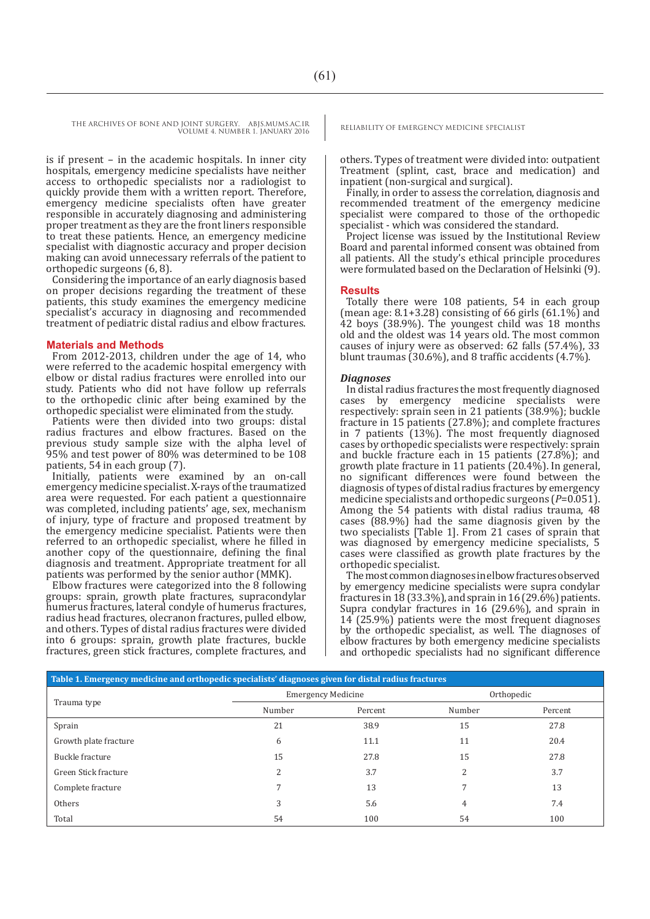THE ARCHIVES OF BONE AND JOINT SURGERY. ABJS.MUMS.AC.IR RELIABILITY OF EMERGENCY MEDICINE SPECIALIST VOLUME 4. NUMBER 1. JANUARY 2016

is if present – in the academic hospitals. In inner city hospitals, emergency medicine specialists have neither access to orthopedic specialists nor a radiologist to quickly provide them with a written report. Therefore, emergency medicine specialists often have greater responsible in accurately diagnosing and administering proper treatment as they are the front liners responsible to treat these patients. Hence, an emergency medicine specialist with diagnostic accuracy and proper decision making can avoid unnecessary referrals of the patient to orthopedic surgeons (6, 8).

Considering the importance of an early diagnosis based on proper decisions regarding the treatment of these patients, this study examines the emergency medicine specialist's accuracy in diagnosing and recommended treatment of pediatric distal radius and elbow fractures.

#### **Materials and Methods**

From 2012-2013, children under the age of 14, who were referred to the academic hospital emergency with elbow or distal radius fractures were enrolled into our study. Patients who did not have follow up referrals to the orthopedic clinic after being examined by the orthopedic specialist were eliminated from the study.

Patients were then divided into two groups: distal radius fractures and elbow fractures. Based on the previous study sample size with the alpha level of 95% and test power of 80% was determined to be 108 patients, 54 in each group (7).

Initially, patients were examined by an on-call emergency medicine specialist. X-rays of the traumatized area were requested. For each patient a questionnaire was completed, including patients' age, sex, mechanism of injury, type of fracture and proposed treatment by the emergency medicine specialist. Patients were then referred to an orthopedic specialist, where he filled in another copy of the questionnaire, defining the final diagnosis and treatment. Appropriate treatment for all patients was performed by the senior author (MMK).

Elbow fractures were categorized into the 8 following groups: sprain, growth plate fractures, supracondylar humerus fractures, lateral condyle of humerus fractures, radius head fractures, olecranon fractures, pulled elbow, and others. Types of distal radius fractures were divided into 6 groups: sprain, growth plate fractures, buckle fractures, green stick fractures, complete fractures, and

others. Types of treatment were divided into: outpatient Treatment (splint, cast, brace and medication) and inpatient (non-surgical and surgical).

Finally, in order to assess the correlation, diagnosis and recommended treatment of the emergency medicine specialist were compared to those of the orthopedic specialist - which was considered the standard.

Project license was issued by the Institutional Review Board and parental informed consent was obtained from all patients. All the study's ethical principle procedures were formulated based on the Declaration of Helsinki (9).

#### **Results**

Totally there were 108 patients, 54 in each group (mean age:  $8.1+3.28$ ) consisting of 66 girls (61.1%) and 42 boys (38.9%). The youngest child was 18 months old and the oldest was 14 years old. The most common causes of injury were as observed: 62 falls (57.4%), 33 blunt traumas (30.6%), and 8 traffic accidents (4.7%).

#### *Diagnoses*

In distal radius fractures the most frequently diagnosed cases by emergency medicine specialists were respectively: sprain seen in 21 patients (38.9%); buckle fracture in 15 patients (27.8%); and complete fractures in 7 patients (13%). The most frequently diagnosed cases by orthopedic specialists were respectively: sprain and buckle fracture each in 15 patients (27.8%); and growth plate fracture in 11 patients (20.4%). In general, no significant differences were found between the diagnosis of types of distal radius fractures by emergency medicine specialists and orthopedic surgeons (*P*=0.051). Among the 54 patients with distal radius trauma, 48 cases (88.9%) had the same diagnosis given by the two specialists [Table 1]. From 21 cases of sprain that was diagnosed by emergency medicine specialists, 5 cases were classified as growth plate fractures by the orthopedic specialist.

The most common diagnoses in elbow fractures observed by emergency medicine specialists were supra condylar fractures in 18 (33.3%), and sprain in 16 (29.6%) patients. Supra condylar fractures in 16 (29.6%), and sprain in 14 (25.9%) patients were the most frequent diagnoses by the orthopedic specialist, as well. The diagnoses of elbow fractures by both emergency medicine specialists and orthopedic specialists had no significant difference

| Table 1. Emergency medicine and orthopedic specialists' diagnoses given for distal radius fractures |                           |         |            |         |  |
|-----------------------------------------------------------------------------------------------------|---------------------------|---------|------------|---------|--|
| Trauma type                                                                                         | <b>Emergency Medicine</b> |         | Orthopedic |         |  |
|                                                                                                     | Number                    | Percent | Number     | Percent |  |
| Sprain                                                                                              | 21                        | 38.9    | 15         | 27.8    |  |
| Growth plate fracture                                                                               | 6                         | 11.1    | 11         | 20.4    |  |
| Buckle fracture                                                                                     | 15                        | 27.8    | 15         | 27.8    |  |
| Green Stick fracture                                                                                | C.                        | 3.7     | 2          | 3.7     |  |
| Complete fracture                                                                                   |                           | 13      | 7          | 13      |  |
| Others                                                                                              | 3                         | 5.6     | 4          | 7.4     |  |
| Total                                                                                               | 54                        | 100     | 54         | 100     |  |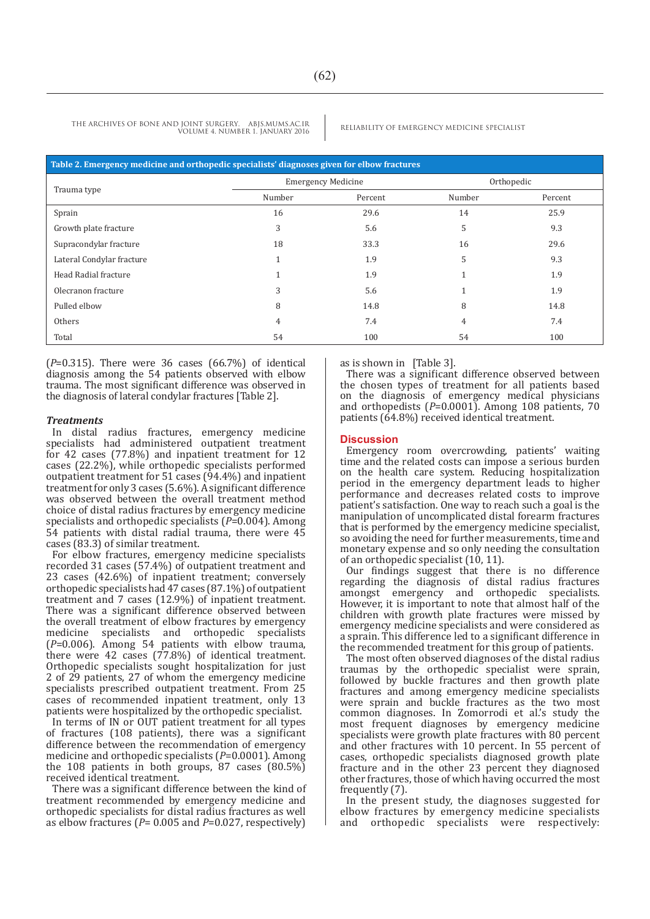THE ARCHIVES OF BONE AND JOINT SURGERY. ABJS.MUMS.AC.IR RELIABILITY OF EMERGENCY MEDICINE SPECIALIST VOLUME 4. NUMBER 1. JANUARY 2016

| Table 2. Emergency medicine and orthopedic specialists' diagnoses given for elbow fractures |                           |         |            |         |  |
|---------------------------------------------------------------------------------------------|---------------------------|---------|------------|---------|--|
| Trauma type                                                                                 | <b>Emergency Medicine</b> |         | Orthopedic |         |  |
|                                                                                             | Number                    | Percent | Number     | Percent |  |
| Sprain                                                                                      | 16                        | 29.6    | 14         | 25.9    |  |
| Growth plate fracture                                                                       | 3                         | 5.6     | 5          | 9.3     |  |
| Supracondylar fracture                                                                      | 18                        | 33.3    | 16         | 29.6    |  |
| Lateral Condylar fracture                                                                   |                           | 1.9     | 5          | 9.3     |  |
| Head Radial fracture                                                                        |                           | 1.9     |            | 1.9     |  |
| Olecranon fracture                                                                          | 3                         | 5.6     |            | 1.9     |  |
| Pulled elbow                                                                                | 8                         | 14.8    | 8          | 14.8    |  |
| Others                                                                                      | 4                         | 7.4     | 4          | 7.4     |  |
| Total                                                                                       | 54                        | 100     | 54         | 100     |  |

(*P*=0.315). There were 36 cases (66.7%) of identical diagnosis among the 54 patients observed with elbow trauma. The most significant difference was observed in the diagnosis of lateral condylar fractures [Table 2].

#### *Treatments*

In distal radius fractures, emergency medicine specialists had administered outpatient treatment for 42 cases (77.8%) and inpatient treatment for 12 cases (22.2%), while orthopedic specialists performed outpatient treatment for 51 cases (94.4%) and inpatient treatment for only 3 cases (5.6%). A significant difference was observed between the overall treatment method choice of distal radius fractures by emergency medicine specialists and orthopedic specialists (*P*=0.004). Among 54 patients with distal radial trauma, there were 45 cases (83.3) of similar treatment.

For elbow fractures, emergency medicine specialists recorded 31 cases (57.4%) of outpatient treatment and 23 cases (42.6%) of inpatient treatment; conversely orthopedic specialists had 47 cases (87.1%) of outpatient treatment and 7 cases (12.9%) of inpatient treatment. There was a significant difference observed between the overall treatment of elbow fractures by emergency medicine specialists and orthopedic specialists (*P*=0.006). Among 54 patients with elbow trauma, there were 42 cases (77.8%) of identical treatment. Orthopedic specialists sought hospitalization for just 2 of 29 patients, 27 of whom the emergency medicine specialists prescribed outpatient treatment. From 25 cases of recommended inpatient treatment, only 13 patients were hospitalized by the orthopedic specialist.

In terms of IN or OUT patient treatment for all types of fractures (108 patients), there was a significant difference between the recommendation of emergency medicine and orthopedic specialists (*P*=0.0001). Among the 108 patients in both groups, 87 cases (80.5%) received identical treatment.

There was a significant difference between the kind of treatment recommended by emergency medicine and orthopedic specialists for distal radius fractures as well as elbow fractures (*P*= 0.005 and *P*=0.027, respectively)

as is shown in [Table 3].

There was a significant difference observed between the chosen types of treatment for all patients based on the diagnosis of emergency medical physicians and orthopedists (*P*=0.0001). Among 108 patients, 70 patients (64.8%) received identical treatment.

#### **Discussion**

Emergency room overcrowding, patients' waiting time and the related costs can impose a serious burden on the health care system. Reducing hospitalization period in the emergency department leads to higher performance and decreases related costs to improve patient's satisfaction. One way to reach such a goal is the manipulation of uncomplicated distal forearm fractures that is performed by the emergency medicine specialist, so avoiding the need for further measurements, time and monetary expense and so only needing the consultation of an orthopedic specialist (10, 11).

Our findings suggest that there is no difference regarding the diagnosis of distal radius fractures amongst emergency and orthopedic specialists. emergency and orthopedic specialists. However, it is important to note that almost half of the children with growth plate fractures were missed by emergency medicine specialists and were considered as a sprain. This difference led to a significant difference in the recommended treatment for this group of patients.

The most often observed diagnoses of the distal radius traumas by the orthopedic specialist were sprain, followed by buckle fractures and then growth plate fractures and among emergency medicine specialists were sprain and buckle fractures as the two most common diagnoses. In Zomorrodi et al.'s study the most frequent diagnoses by emergency medicine specialists were growth plate fractures with 80 percent and other fractures with 10 percent. In 55 percent of cases, orthopedic specialists diagnosed growth plate fracture and in the other 23 percent they diagnosed other fractures, those of which having occurred the most frequently (7).

In the present study, the diagnoses suggested for elbow fractures by emergency medicine specialists and orthopedic specialists were respectively: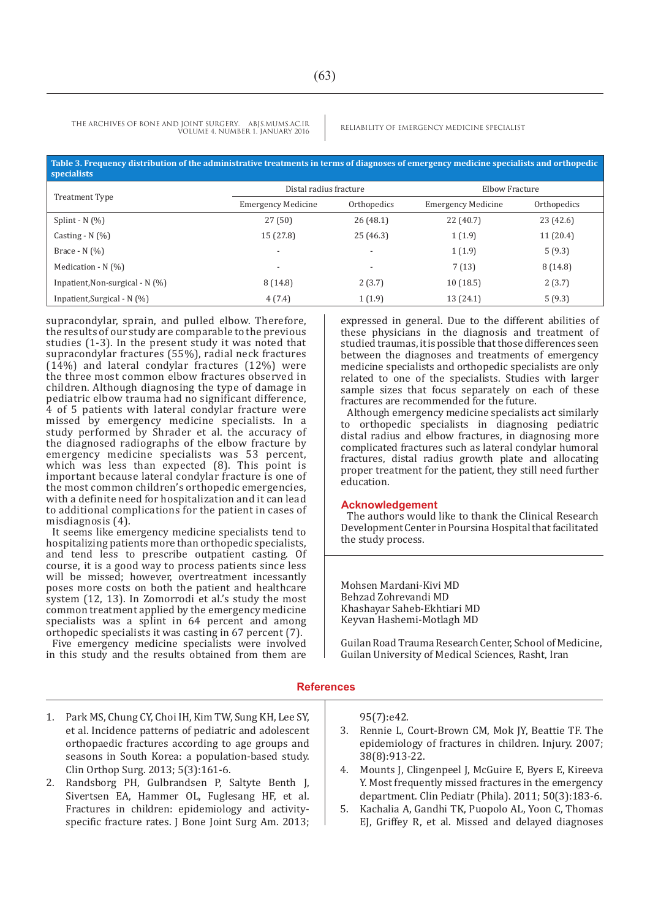THE ARCHIVES OF BONE AND JOINT SURGERY. ABJS.MUMS.AC.IR RELIABILITY OF EMERGENCY MEDICINE SPECIALIST VOLUME 4. NUMBER 1. JANUARY 2016

| Table 3. Frequency distribution of the administrative treatments in terms of diagnoses of emergency medicine specialists and orthopedic<br><b>specialists</b> |                        |                |
|---------------------------------------------------------------------------------------------------------------------------------------------------------------|------------------------|----------------|
|                                                                                                                                                               | Distal radius fracture | Elbow Fracture |

| Treatment Type                    | Distal radius fracture    |                          | Elbow Fracture            |             |
|-----------------------------------|---------------------------|--------------------------|---------------------------|-------------|
|                                   | <b>Emergency Medicine</b> | Orthopedics              | <b>Emergency Medicine</b> | Orthopedics |
| Splint - $N$ $(\%)$               | 27(50)                    | 26(48.1)                 | 22 (40.7)                 | 23 (42.6)   |
| Casting - $N$ $(\%)$              | 15(27.8)                  | 25(46.3)                 | 1(1.9)                    | 11(20.4)    |
| Brace - $N$ $(\%)$                | $\overline{\phantom{a}}$  | $\overline{\phantom{0}}$ | 1(1.9)                    | 5(9.3)      |
| Medication - $N$ (%)              | $\overline{\phantom{a}}$  | $\overline{\phantom{0}}$ | 7(13)                     | 8(14.8)     |
| Inpatient, Non-surgical - $N$ (%) | 8 (14.8)                  | 2(3.7)                   | 10(18.5)                  | 2(3.7)      |
| Inpatient, Surgical - $N$ (%)     | 4(7.4)                    | 1(1.9)                   | 13(24.1)                  | 5(9.3)      |

supracondylar, sprain, and pulled elbow. Therefore, the results of our study are comparable to the previous studies (1-3). In the present study it was noted that supracondylar fractures (55%), radial neck fractures (14%) and lateral condylar fractures (12%) were the three most common elbow fractures observed in children. Although diagnosing the type of damage in pediatric elbow trauma had no significant difference, 4 of 5 patients with lateral condylar fracture were missed by emergency medicine specialists. In a study performed by Shrader et al. the accuracy of the diagnosed radiographs of the elbow fracture by emergency medicine specialists was 53 percent, which was less than expected (8). This point is important because lateral condylar fracture is one of the most common children's orthopedic emergencies, with a definite need for hospitalization and it can lead to additional complications for the patient in cases of misdiagnosis (4).

It seems like emergency medicine specialists tend to hospitalizing patients more than orthopedic specialists, and tend less to prescribe outpatient casting. Of course, it is a good way to process patients since less will be missed; however, overtreatment incessantly poses more costs on both the patient and healthcare system (12, 13). In Zomorrodi et al.'s study the most common treatment applied by the emergency medicine specialists was a splint in 64 percent and among orthopedic specialists it was casting in 67 percent (7).

Five emergency medicine specialists were involved in this study and the results obtained from them are expressed in general. Due to the different abilities of these physicians in the diagnosis and treatment of studied traumas, it is possible that those differences seen between the diagnoses and treatments of emergency medicine specialists and orthopedic specialists are only related to one of the specialists. Studies with larger sample sizes that focus separately on each of these fractures are recommended for the future.

Although emergency medicine specialists act similarly to orthopedic specialists in diagnosing pediatric distal radius and elbow fractures, in diagnosing more complicated fractures such as lateral condylar humoral fractures, distal radius growth plate and allocating proper treatment for the patient, they still need further education.

#### **Acknowledgement**

The authors would like to thank the Clinical Research Development Center in Poursina Hospital that facilitated the study process.

Mohsen Mardani-Kivi MD Behzad Zohrevandi MD Khashayar Saheb-Ekhtiari MD Keyvan Hashemi-Motlagh MD

Guilan Road Trauma Research Center, School of Medicine, Guilan University of Medical Sciences, Rasht, Iran

#### **References**

- 1. Park MS, Chung CY, Choi IH, Kim TW, Sung KH, Lee SY, et al. Incidence patterns of pediatric and adolescent orthopaedic fractures according to age groups and seasons in South Korea: a population-based study. Clin Orthop Surg. 2013; 5(3):161-6.
- 2. Randsborg PH, Gulbrandsen P, Saltyte Benth J, Sivertsen EA, Hammer OL, Fuglesang HF, et al. Fractures in children: epidemiology and activityspecific fracture rates. J Bone Joint Surg Am. 2013;

95(7):e42.

- 3. Rennie L, Court-Brown CM, Mok JY, Beattie TF. The epidemiology of fractures in children. Injury. 2007; 38(8):913-22.
- 4. Mounts J, Clingenpeel J, McGuire E, Byers E, Kireeva Y. Most frequently missed fractures in the emergency department. Clin Pediatr (Phila). 2011; 50(3):183-6.
- 5. Kachalia A, Gandhi TK, Puopolo AL, Yoon C, Thomas EJ, Griffey R, et al. Missed and delayed diagnoses